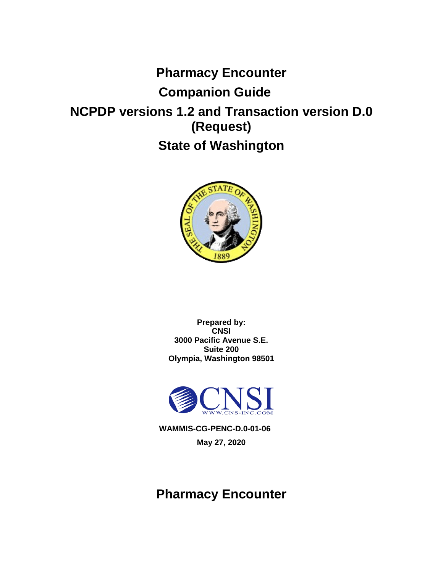# **Pharmacy Encounter Companion Guide NCPDP versions 1.2 and Transaction version D.0 (Request) State of Washington**



**Prepared by: CNSI 3000 Pacific Avenue S.E. Suite 200 Olympia, Washington 98501**



**WAMMIS-CG-PENC-D.0-01-06 May 27, 2020**

## **Pharmacy Encounter**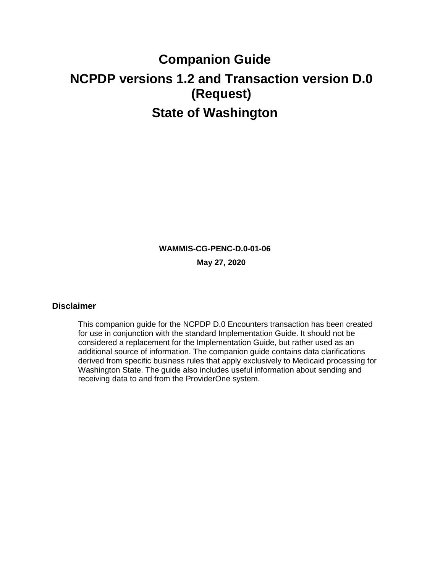# **Companion Guide NCPDP versions 1.2 and Transaction version D.0 (Request) State of Washington**

**WAMMIS-CG-PENC-D.0-01-06 May 27, 2020**

#### <span id="page-1-0"></span>**Disclaimer**

This companion guide for the NCPDP D.0 Encounters transaction has been created for use in conjunction with the standard Implementation Guide. It should not be considered a replacement for the Implementation Guide, but rather used as an additional source of information. The companion guide contains data clarifications derived from specific business rules that apply exclusively to Medicaid processing for Washington State. The guide also includes useful information about sending and receiving data to and from the ProviderOne system.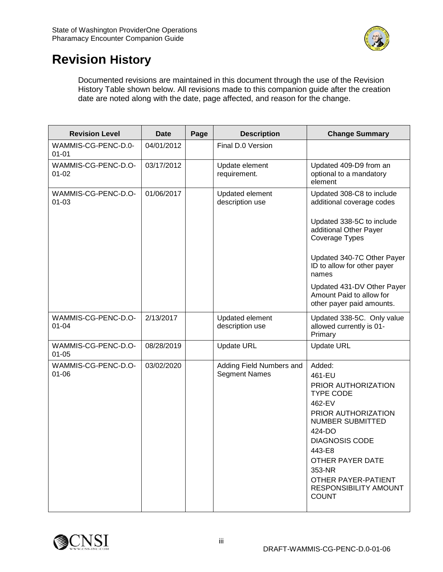

## <span id="page-2-0"></span>**Revision History**

Documented revisions are maintained in this document through the use of the Revision History Table shown below. All revisions made to this companion guide after the creation date are noted along with the date, page affected, and reason for the change.

| <b>Revision Level</b>            | <b>Date</b> | Page | <b>Description</b>                               | <b>Change Summary</b>                                                                                                                                                                                                                                              |
|----------------------------------|-------------|------|--------------------------------------------------|--------------------------------------------------------------------------------------------------------------------------------------------------------------------------------------------------------------------------------------------------------------------|
| WAMMIS-CG-PENC-D.0-<br>$01 - 01$ | 04/01/2012  |      | Final D.0 Version                                |                                                                                                                                                                                                                                                                    |
| WAMMIS-CG-PENC-D.O-<br>$01 - 02$ | 03/17/2012  |      | Update element<br>requirement.                   | Updated 409-D9 from an<br>optional to a mandatory<br>element                                                                                                                                                                                                       |
| WAMMIS-CG-PENC-D.O-<br>$01 - 03$ | 01/06/2017  |      | Updated element<br>description use               | Updated 308-C8 to include<br>additional coverage codes                                                                                                                                                                                                             |
|                                  |             |      |                                                  | Updated 338-5C to include<br>additional Other Payer<br>Coverage Types                                                                                                                                                                                              |
|                                  |             |      |                                                  | Updated 340-7C Other Payer<br>ID to allow for other payer<br>names                                                                                                                                                                                                 |
|                                  |             |      |                                                  | Updated 431-DV Other Payer<br>Amount Paid to allow for<br>other payer paid amounts.                                                                                                                                                                                |
| WAMMIS-CG-PENC-D.O-<br>$01 - 04$ | 2/13/2017   |      | Updated element<br>description use               | Updated 338-5C. Only value<br>allowed currently is 01-<br>Primary                                                                                                                                                                                                  |
| WAMMIS-CG-PENC-D.O-<br>$01 - 05$ | 08/28/2019  |      | <b>Update URL</b>                                | <b>Update URL</b>                                                                                                                                                                                                                                                  |
| WAMMIS-CG-PENC-D.O-<br>$01 - 06$ | 03/02/2020  |      | Adding Field Numbers and<br><b>Segment Names</b> | Added:<br>461-EU<br>PRIOR AUTHORIZATION<br><b>TYPE CODE</b><br>462-EV<br>PRIOR AUTHORIZATION<br>NUMBER SUBMITTED<br>424-DO<br><b>DIAGNOSIS CODE</b><br>443-E8<br>OTHER PAYER DATE<br>353-NR<br>OTHER PAYER-PATIENT<br><b>RESPONSIBILITY AMOUNT</b><br><b>COUNT</b> |

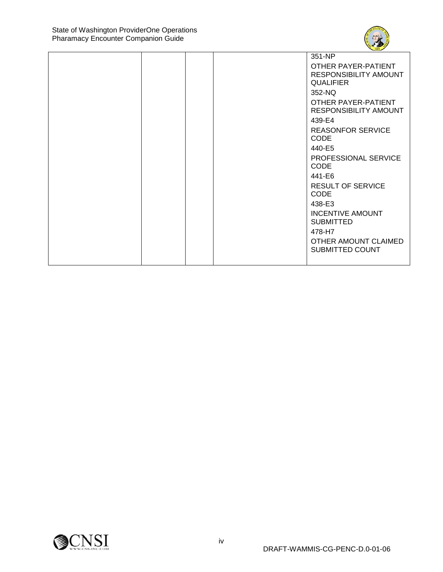

|  | 351-NP                       |
|--|------------------------------|
|  | OTHER PAYER-PATIENT          |
|  | <b>RESPONSIBILITY AMOUNT</b> |
|  | <b>QUALIFIER</b>             |
|  | 352-NQ                       |
|  | OTHER PAYER-PATIENT          |
|  | <b>RESPONSIBILITY AMOUNT</b> |
|  | 439-E4                       |
|  | <b>REASONFOR SERVICE</b>     |
|  | <b>CODE</b>                  |
|  | 440-E5                       |
|  | <b>PROFESSIONAL SERVICE</b>  |
|  | <b>CODE</b>                  |
|  | 441-E6                       |
|  | <b>RESULT OF SERVICE</b>     |
|  | <b>CODE</b>                  |
|  | 438-E3                       |
|  | <b>INCENTIVE AMOUNT</b>      |
|  | <b>SUBMITTED</b>             |
|  | 478-H7                       |
|  | OTHER AMOUNT CLAIMED         |
|  | <b>SUBMITTED COUNT</b>       |
|  |                              |

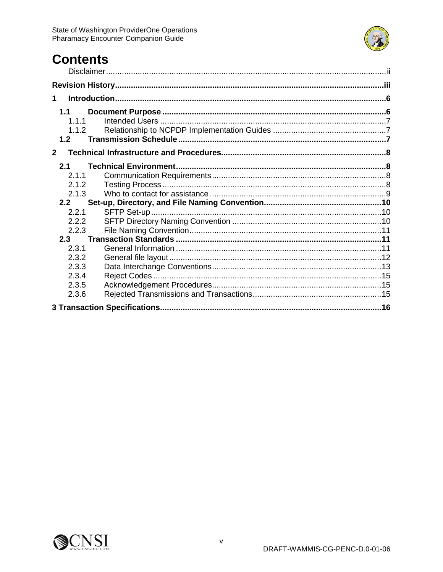

## **Contents**

| 1                              |  |
|--------------------------------|--|
| 1.1<br>1.1.1<br>1.1.2          |  |
| 1.2                            |  |
| $\mathbf{2}$                   |  |
| 2.1<br>2.1.1<br>2.1.2          |  |
| 2.1.3                          |  |
| 2.2<br>2.2.1<br>2.2.2<br>2.2.3 |  |
| 2.3                            |  |
| 2.3.1<br>2.3.2<br>2.3.3        |  |
| 2.3.4<br>2.3.5<br>2.3.6        |  |
|                                |  |

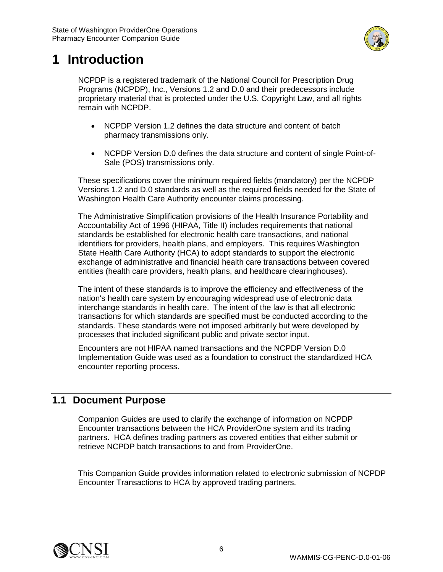

## <span id="page-5-0"></span>**1 Introduction**

NCPDP is a registered trademark of the National Council for Prescription Drug Programs (NCPDP), Inc., Versions 1.2 and D.0 and their predecessors include proprietary material that is protected under the U.S. Copyright Law, and all rights remain with NCPDP.

- NCPDP Version 1.2 defines the data structure and content of batch pharmacy transmissions only.
- NCPDP Version D.0 defines the data structure and content of single Point-of-Sale (POS) transmissions only.

These specifications cover the minimum required fields (mandatory) per the NCPDP Versions 1.2 and D.0 standards as well as the required fields needed for the State of Washington Health Care Authority encounter claims processing.

The Administrative Simplification provisions of the Health Insurance Portability and Accountability Act of 1996 (HIPAA, Title II) includes requirements that national standards be established for electronic health care transactions, and national identifiers for providers, health plans, and employers. This requires Washington State Health Care Authority (HCA) to adopt standards to support the electronic exchange of administrative and financial health care transactions between covered entities (health care providers, health plans, and healthcare clearinghouses).

The intent of these standards is to improve the efficiency and effectiveness of the nation's health care system by encouraging widespread use of electronic data interchange standards in health care. The intent of the law is that all electronic transactions for which standards are specified must be conducted according to the standards. These standards were not imposed arbitrarily but were developed by processes that included significant public and private sector input.

Encounters are not HIPAA named transactions and the NCPDP Version D.0 Implementation Guide was used as a foundation to construct the standardized HCA encounter reporting process.

## <span id="page-5-1"></span>**1.1 Document Purpose**

Companion Guides are used to clarify the exchange of information on NCPDP Encounter transactions between the HCA ProviderOne system and its trading partners. HCA defines trading partners as covered entities that either submit or retrieve NCPDP batch transactions to and from ProviderOne.

This Companion Guide provides information related to electronic submission of NCPDP Encounter Transactions to HCA by approved trading partners.

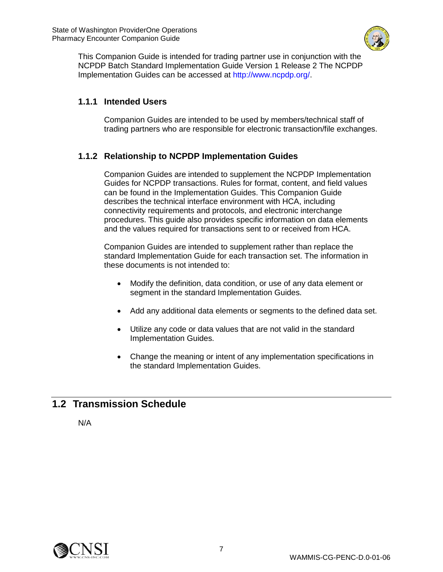

This Companion Guide is intended for trading partner use in conjunction with the NCPDP Batch Standard Implementation Guide Version 1 Release 2 The NCPDP Implementation Guides can be accessed at http://www.ncpdp.org/.

## <span id="page-6-0"></span>**1.1.1 Intended Users**

Companion Guides are intended to be used by members/technical staff of trading partners who are responsible for electronic transaction/file exchanges.

## <span id="page-6-1"></span>**1.1.2 Relationship to NCPDP Implementation Guides**

Companion Guides are intended to supplement the NCPDP Implementation Guides for NCPDP transactions. Rules for format, content, and field values can be found in the Implementation Guides. This Companion Guide describes the technical interface environment with HCA, including connectivity requirements and protocols, and electronic interchange procedures. This guide also provides specific information on data elements and the values required for transactions sent to or received from HCA.

Companion Guides are intended to supplement rather than replace the standard Implementation Guide for each transaction set. The information in these documents is not intended to:

- Modify the definition, data condition, or use of any data element or segment in the standard Implementation Guides.
- Add any additional data elements or segments to the defined data set.
- Utilize any code or data values that are not valid in the standard Implementation Guides.
- Change the meaning or intent of any implementation specifications in the standard Implementation Guides.

## <span id="page-6-2"></span>**1.2 Transmission Schedule**

N/A

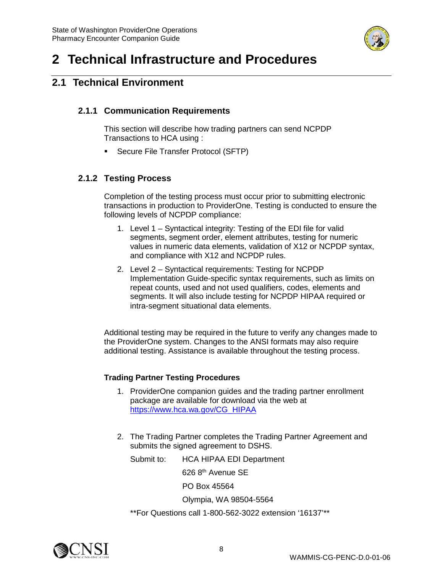

## <span id="page-7-0"></span>**2 Technical Infrastructure and Procedures**

## <span id="page-7-2"></span><span id="page-7-1"></span>**2.1 Technical Environment**

## **2.1.1 Communication Requirements**

This section will describe how trading partners can send NCPDP Transactions to HCA using :

**Secure File Transfer Protocol (SFTP)** 

## <span id="page-7-3"></span>**2.1.2 Testing Process**

Completion of the testing process must occur prior to submitting electronic transactions in production to ProviderOne. Testing is conducted to ensure the following levels of NCPDP compliance:

- 1. Level 1 Syntactical integrity: Testing of the EDI file for valid segments, segment order, element attributes, testing for numeric values in numeric data elements, validation of X12 or NCPDP syntax, and compliance with X12 and NCPDP rules.
- 2. Level 2 Syntactical requirements: Testing for NCPDP Implementation Guide-specific syntax requirements, such as limits on repeat counts, used and not used qualifiers, codes, elements and segments. It will also include testing for NCPDP HIPAA required or intra-segment situational data elements.

Additional testing may be required in the future to verify any changes made to the ProviderOne system. Changes to the ANSI formats may also require additional testing. Assistance is available throughout the testing process.

#### **Trading Partner Testing Procedures**

- 1. ProviderOne companion guides and the trading partner enrollment package are available for download via the web at [https://www.hca.wa.gov/CG\\_HIPAA](https://www.hca.wa.gov/billers-providers-partners/prior-authorization-claims-and-billing/hipaa-electronic-data-interchange-edi)
- 2. The Trading Partner completes the Trading Partner Agreement and submits the signed agreement to DSHS.

Submit to: HCA HIPAA EDI Department

626 8th Avenue SE

PO Box 45564

Olympia, WA 98504-5564

\*\*For Questions call 1-800-562-3022 extension '16137'\*\*

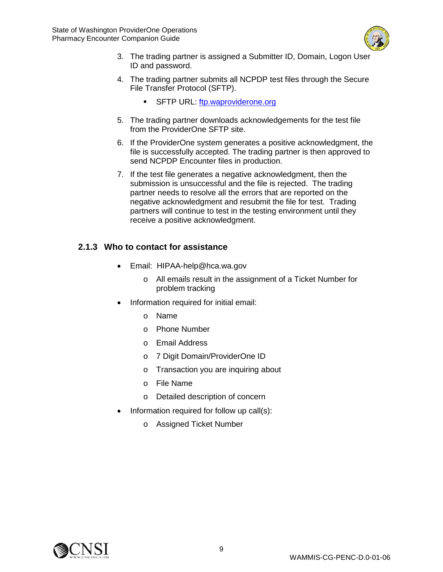

- 3. The trading partner is assigned a Submitter ID, Domain, Logon User ID and password.
- 4. The trading partner submits all NCPDP test files through the Secure File Transfer Protocol (SFTP).
	- SFTP URL: [ftp.waproviderone.org](ftp://ftp.waproviderone.org/)
- 5. The trading partner downloads acknowledgements for the test file from the ProviderOne SFTP site.
- 6. If the ProviderOne system generates a positive acknowledgment, the file is successfully accepted. The trading partner is then approved to send NCPDP Encounter files in production.
- 7. If the test file generates a negative acknowledgment, then the submission is unsuccessful and the file is rejected. The trading partner needs to resolve all the errors that are reported on the negative acknowledgment and resubmit the file for test. Trading partners will continue to test in the testing environment until they receive a positive acknowledgment.

## <span id="page-8-0"></span>**2.1.3 Who to contact for assistance**

- Email: HIPAA-help@hca.wa.gov
	- o All emails result in the assignment of a Ticket Number for problem tracking
- Information required for initial email:
	- o Name
	- o Phone Number
	- o Email Address
	- o 7 Digit Domain/ProviderOne ID
	- o Transaction you are inquiring about
	- o File Name
	- o Detailed description of concern
- Information required for follow up call(s):
	- o Assigned Ticket Number

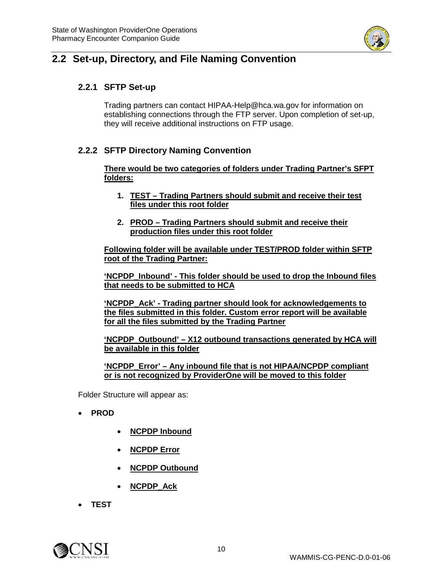

## <span id="page-9-1"></span><span id="page-9-0"></span>**2.2 Set-up, Directory, and File Naming Convention**

## **2.2.1 SFTP Set-up**

Trading partners can contact HIPAA-Help@hca.wa.gov for information on establishing connections through the FTP server. Upon completion of set-up, they will receive additional instructions on FTP usage.

### <span id="page-9-2"></span>**2.2.2 SFTP Directory Naming Convention**

**There would be two categories of folders under Trading Partner's SFPT folders:**

- **1. TEST – Trading Partners should submit and receive their test files under this root folder**
- **2. PROD – Trading Partners should submit and receive their production files under this root folder**

**Following folder will be available under TEST/PROD folder within SFTP root of the Trading Partner:**

**'NCPDP\_Inbound' - This folder should be used to drop the Inbound files that needs to be submitted to HCA**

**'NCPDP\_Ack' - Trading partner should look for acknowledgements to the files submitted in this folder. Custom error report will be available for all the files submitted by the Trading Partner**

**'NCPDP\_Outbound' – X12 outbound transactions generated by HCA will be available in this folder**

**'NCPDP\_Error' – Any inbound file that is not HIPAA/NCPDP compliant or is not recognized by ProviderOne will be moved to this folder**

Folder Structure will appear as:

- **PROD**
	- **NCPDP Inbound**
	- **NCPDP Error**
	- **NCPDP Outbound**
	- **NCPDP\_Ack**
- **TEST**

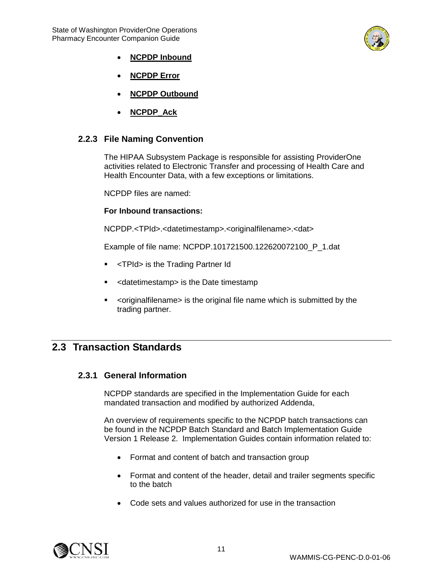

- **NCPDP Inbound**
- **NCPDP Error**
- **NCPDP Outbound**
- **NCPDP\_Ack**

#### <span id="page-10-0"></span>**2.2.3 File Naming Convention**

The HIPAA Subsystem Package is responsible for assisting ProviderOne activities related to Electronic Transfer and processing of Health Care and Health Encounter Data, with a few exceptions or limitations.

NCPDP files are named:

#### **For Inbound transactions:**

NCPDP.<TPId>.<datetimestamp>.<originalfilename>.<dat>

Example of file name: NCPDP.101721500.122620072100\_P\_1.dat

- **F** <TPId> is the Trading Partner Id
- <datetimestamp> is the Date timestamp
- <originalfilename> is the original file name which is submitted by the trading partner.

## <span id="page-10-2"></span><span id="page-10-1"></span>**2.3 Transaction Standards**

#### **2.3.1 General Information**

NCPDP standards are specified in the Implementation Guide for each mandated transaction and modified by authorized Addenda,

An overview of requirements specific to the NCPDP batch transactions can be found in the NCPDP Batch Standard and Batch Implementation Guide Version 1 Release 2. Implementation Guides contain information related to:

- Format and content of batch and transaction group
- Format and content of the header, detail and trailer segments specific to the batch
- Code sets and values authorized for use in the transaction

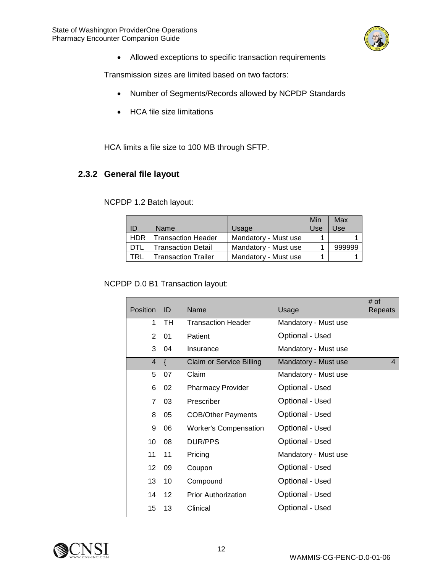

• Allowed exceptions to specific transaction requirements

Transmission sizes are limited based on two factors:

- Number of Segments/Records allowed by NCPDP Standards
- HCA file size limitations

HCA limits a file size to 100 MB through SFTP.

## <span id="page-11-0"></span>**2.3.2 General file layout**

NCPDP 1.2 Batch layout:

| ID         | Name                       | Usage                | Min<br>Use | Max<br>Use |
|------------|----------------------------|----------------------|------------|------------|
| <b>HDR</b> | Transaction Header         | Mandatory - Must use |            |            |
| DTL        | Transaction Detail         | Mandatory - Must use |            | 999999     |
| TRL        | <b>Transaction Trailer</b> | Mandatory - Must use |            |            |

NCPDP D.0 B1 Transaction layout:

| <b>Position</b> | ID              | Name                            | Usage                | # of<br>Repeats |
|-----------------|-----------------|---------------------------------|----------------------|-----------------|
| 1               | TH              | <b>Transaction Header</b>       | Mandatory - Must use |                 |
| $\overline{2}$  | 01              | Patient                         | Optional - Used      |                 |
| 3               | 04              | Insurance                       | Mandatory - Must use |                 |
| $\overline{4}$  | $\{$            | <b>Claim or Service Billing</b> | Mandatory - Must use | $\overline{4}$  |
| 5               | 07              | Claim                           | Mandatory - Must use |                 |
| 6               | 02              | <b>Pharmacy Provider</b>        | Optional - Used      |                 |
| $\overline{7}$  | 03              | Prescriber                      | Optional - Used      |                 |
| 8               | 05              | <b>COB/Other Payments</b>       | Optional - Used      |                 |
| 9               | 06              | <b>Worker's Compensation</b>    | Optional - Used      |                 |
| 10              | 08              | DUR/PPS                         | Optional - Used      |                 |
| 11              | 11              | Pricing                         | Mandatory - Must use |                 |
| 12              | 09              | Coupon                          | Optional - Used      |                 |
| 13              | 10              | Compound                        | Optional - Used      |                 |
| 14              | 12 <sup>2</sup> | <b>Prior Authorization</b>      | Optional - Used      |                 |
| 15              | 13              | Clinical                        | Optional - Used      |                 |
|                 |                 |                                 |                      |                 |

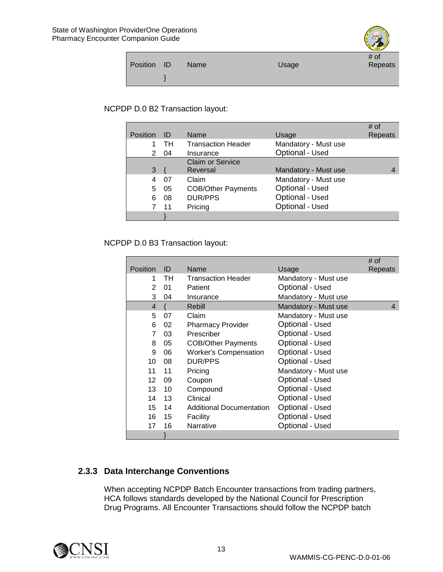|             |      |       | 1889    |
|-------------|------|-------|---------|
|             |      |       | # of    |
| Position ID | Name | Usage | Repeats |
|             |      |       |         |
|             |      |       |         |
|             |      |       |         |

#### NCPDP D.0 B2 Transaction layout:

| <b>Position</b> | ID  | Name                      | Usage                | # of<br>Repeats |
|-----------------|-----|---------------------------|----------------------|-----------------|
|                 | TH. | <b>Transaction Header</b> | Mandatory - Must use |                 |
| 2               | -04 | Insurance                 | Optional - Used      |                 |
|                 |     | <b>Claim or Service</b>   |                      |                 |
| 3               |     | Reversal                  | Mandatory - Must use |                 |
| 4               | 07  | Claim                     | Mandatory - Must use |                 |
| 5               | 05  | <b>COB/Other Payments</b> | Optional - Used      |                 |
| 6               | 08  | <b>DUR/PPS</b>            | Optional - Used      |                 |
|                 | 11  | Pricing                   | Optional - Used      |                 |
|                 |     |                           |                      |                 |

NCPDP D.0 B3 Transaction layout:

|                 |     |                                 |                      | # of    |
|-----------------|-----|---------------------------------|----------------------|---------|
| Position        | ID  | Name                            | Usage                | Repeats |
| 1               | TH. | <b>Transaction Header</b>       | Mandatory - Must use |         |
| $\overline{2}$  | 01  | Patient                         | Optional - Used      |         |
| 3               | 04  | Insurance                       | Mandatory - Must use |         |
| $\overline{4}$  |     | Rebill                          | Mandatory - Must use | 4       |
| 5               | 07  | Claim                           | Mandatory - Must use |         |
| 6               | 02  | <b>Pharmacy Provider</b>        | Optional - Used      |         |
| $\overline{7}$  | 03  | Prescriber                      | Optional - Used      |         |
| 8               | 05  | <b>COB/Other Payments</b>       | Optional - Used      |         |
| 9               | 06  | <b>Worker's Compensation</b>    | Optional - Used      |         |
| 10              | 08  | <b>DUR/PPS</b>                  | Optional - Used      |         |
| 11              | 11  | Pricing                         | Mandatory - Must use |         |
| 12 <sup>2</sup> | 09  | Coupon                          | Optional - Used      |         |
| 13              | 10  | Compound                        | Optional - Used      |         |
| 14              | 13  | Clinical                        | Optional - Used      |         |
| 15 <sup>1</sup> | 14  | <b>Additional Documentation</b> | Optional - Used      |         |
| 16              | 15  | Facility                        | Optional - Used      |         |
| 17              | 16  | Narrative                       | Optional - Used      |         |
|                 |     |                                 |                      |         |

## <span id="page-12-0"></span>**2.3.3 Data Interchange Conventions**

When accepting NCPDP Batch Encounter transactions from trading partners, HCA follows standards developed by the National Council for Prescription Drug Programs. All Encounter Transactions should follow the NCPDP batch

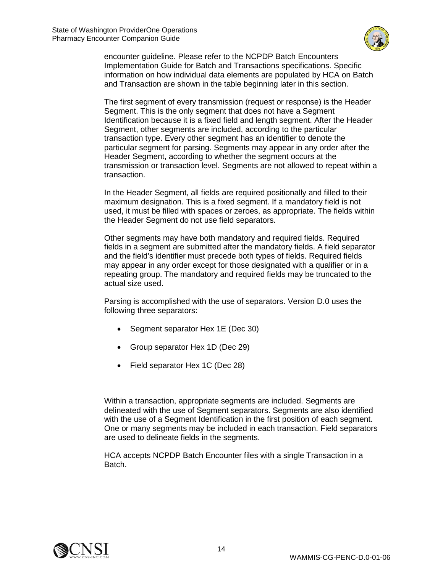

encounter guideline. Please refer to the NCPDP Batch Encounters Implementation Guide for Batch and Transactions specifications. Specific information on how individual data elements are populated by HCA on Batch and Transaction are shown in the table beginning later in this section.

The first segment of every transmission (request or response) is the Header Segment. This is the only segment that does not have a Segment Identification because it is a fixed field and length segment. After the Header Segment, other segments are included, according to the particular transaction type. Every other segment has an identifier to denote the particular segment for parsing. Segments may appear in any order after the Header Segment, according to whether the segment occurs at the transmission or transaction level. Segments are not allowed to repeat within a transaction.

In the Header Segment, all fields are required positionally and filled to their maximum designation. This is a fixed segment. If a mandatory field is not used, it must be filled with spaces or zeroes, as appropriate. The fields within the Header Segment do not use field separators.

Other segments may have both mandatory and required fields. Required fields in a segment are submitted after the mandatory fields. A field separator and the field's identifier must precede both types of fields. Required fields may appear in any order except for those designated with a qualifier or in a repeating group. The mandatory and required fields may be truncated to the actual size used.

Parsing is accomplished with the use of separators. Version D.0 uses the following three separators:

- Segment separator Hex 1E (Dec 30)
- Group separator Hex 1D (Dec 29)
- Field separator Hex 1C (Dec 28)

Within a transaction, appropriate segments are included. Segments are delineated with the use of Segment separators. Segments are also identified with the use of a Segment Identification in the first position of each segment. One or many segments may be included in each transaction. Field separators are used to delineate fields in the segments.

HCA accepts NCPDP Batch Encounter files with a single Transaction in a Batch.

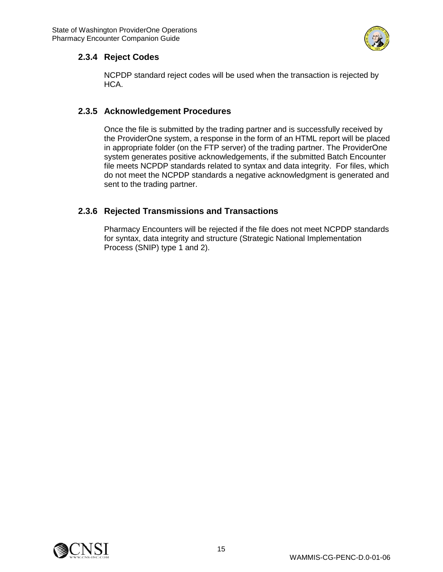

### <span id="page-14-0"></span>**2.3.4 Reject Codes**

NCPDP standard reject codes will be used when the transaction is rejected by HCA.

## <span id="page-14-1"></span>**2.3.5 Acknowledgement Procedures**

Once the file is submitted by the trading partner and is successfully received by the ProviderOne system, a response in the form of an HTML report will be placed in appropriate folder (on the FTP server) of the trading partner. The ProviderOne system generates positive acknowledgements, if the submitted Batch Encounter file meets NCPDP standards related to syntax and data integrity. For files, which do not meet the NCPDP standards a negative acknowledgment is generated and sent to the trading partner.

## <span id="page-14-2"></span>**2.3.6 Rejected Transmissions and Transactions**

Pharmacy Encounters will be rejected if the file does not meet NCPDP standards for syntax, data integrity and structure (Strategic National Implementation Process (SNIP) type 1 and 2).

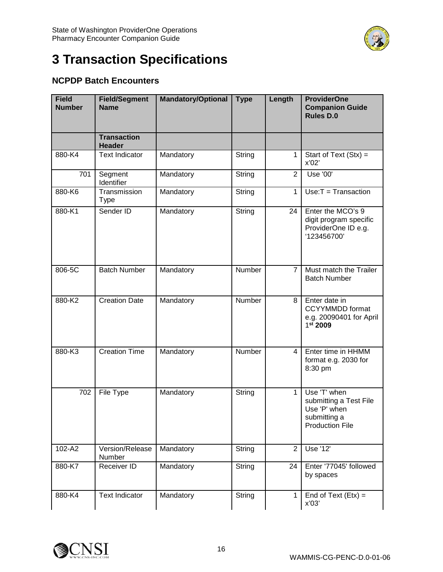

# <span id="page-15-0"></span>**3 Transaction Specifications**

## **NCPDP Batch Encounters**

| <b>Field</b><br><b>Number</b> | <b>Field/Segment</b><br><b>Name</b> | <b>Mandatory/Optional</b> | <b>Type</b> | Length         | <b>ProviderOne</b><br><b>Companion Guide</b><br><b>Rules D.0</b>                                 |
|-------------------------------|-------------------------------------|---------------------------|-------------|----------------|--------------------------------------------------------------------------------------------------|
|                               | <b>Transaction</b><br><b>Header</b> |                           |             |                |                                                                                                  |
| 880-K4                        | <b>Text Indicator</b>               | Mandatory                 | String      | 1              | Start of Text $(Stx) =$<br>x'02'                                                                 |
| 701                           | Segment<br>Identifier               | Mandatory                 | String      | $\overline{2}$ | Use '00'                                                                                         |
| 880-K6                        | Transmission<br><b>Type</b>         | Mandatory                 | String      | $\mathbf{1}$   | $Use: T = Transaction$                                                                           |
| 880-K1                        | Sender ID                           | Mandatory                 | String      | 24             | Enter the MCO's 9<br>digit program specific<br>ProviderOne ID e.g.<br>'123456700'                |
| 806-5C                        | <b>Batch Number</b>                 | Mandatory                 | Number      | $\overline{7}$ | Must match the Trailer<br><b>Batch Number</b>                                                    |
| 880-K2                        | <b>Creation Date</b>                | Mandatory                 | Number      | 8              | Enter date in<br><b>CCYYMMDD</b> format<br>e.g. 20090401 for April<br>1st 2009                   |
| 880-K3                        | <b>Creation Time</b>                | Mandatory                 | Number      | $\overline{4}$ | Enter time in HHMM<br>format e.g. 2030 for<br>8:30 pm                                            |
| 702                           | File Type                           | Mandatory                 | String      | $\mathbf{1}$   | Use 'T' when<br>submitting a Test File<br>Use 'P' when<br>submitting a<br><b>Production File</b> |
| 102-A2                        | Version/Release<br>Number           | Mandatory                 | String      | $\overline{2}$ | Use '12'                                                                                         |
| 880-K7                        | Receiver ID                         | Mandatory                 | String      | 24             | Enter '77045' followed<br>by spaces                                                              |
| 880-K4                        | <b>Text Indicator</b>               | Mandatory                 | String      | $\mathbf{1}$   | End of Text $(Et x) =$<br>x'03'                                                                  |

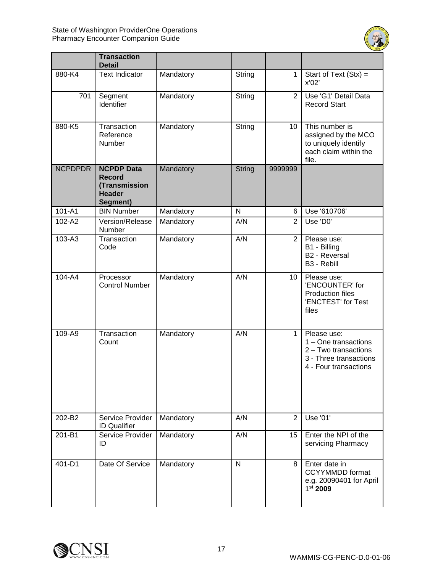

|                | <b>Transaction</b><br><b>Detail</b>                                              |           |               |                 |                                                                                                                |
|----------------|----------------------------------------------------------------------------------|-----------|---------------|-----------------|----------------------------------------------------------------------------------------------------------------|
| 880-K4         | <b>Text Indicator</b>                                                            | Mandatory | String        | 1               | Start of Text $(Stx) =$<br>x'02'                                                                               |
| 701            | Segment<br>Identifier                                                            | Mandatory | String        | 2               | Use 'G1' Detail Data<br><b>Record Start</b>                                                                    |
| 880-K5         | Transaction<br>Reference<br>Number                                               | Mandatory | String        | 10              | This number is<br>assigned by the MCO<br>to uniquely identify<br>each claim within the<br>file.                |
| <b>NCPDPDR</b> | <b>NCPDP Data</b><br><b>Record</b><br>(Transmission<br><b>Header</b><br>Segment) | Mandatory | <b>String</b> | 9999999         |                                                                                                                |
| 101-A1         | <b>BIN Number</b>                                                                | Mandatory | N             | 6               | Use '610706'                                                                                                   |
| 102-A2         | Version/Release<br>Number                                                        | Mandatory | A/N           | 2               | Use 'D0'                                                                                                       |
| 103-A3         | Transaction<br>Code                                                              | Mandatory | A/N           | 2               | Please use:<br>B1 - Billing<br><b>B2 - Reversal</b><br>B3 - Rebill                                             |
| 104-A4         | Processor<br><b>Control Number</b>                                               | Mandatory | A/N           | 10 <sup>°</sup> | Please use:<br>'ENCOUNTER' for<br><b>Production files</b><br>'ENCTEST' for Test<br>files                       |
| 109-A9         | Transaction<br>Count                                                             | Mandatory | A/N           | 1               | Please use:<br>1 - One transactions<br>2 - Two transactions<br>3 - Three transactions<br>4 - Four transactions |
| 202-B2         | Service Provider<br><b>ID Qualifier</b>                                          | Mandatory | A/N           | $\overline{2}$  | Use '01'                                                                                                       |
| 201-B1         | Service Provider<br>ID                                                           | Mandatory | A/N           | 15              | Enter the NPI of the<br>servicing Pharmacy                                                                     |
| 401-D1         | Date Of Service                                                                  | Mandatory | $\mathsf{N}$  | 8               | Enter date in<br><b>CCYYMMDD</b> format<br>e.g. 20090401 for April<br>1 <sup>st</sup> 2009                     |

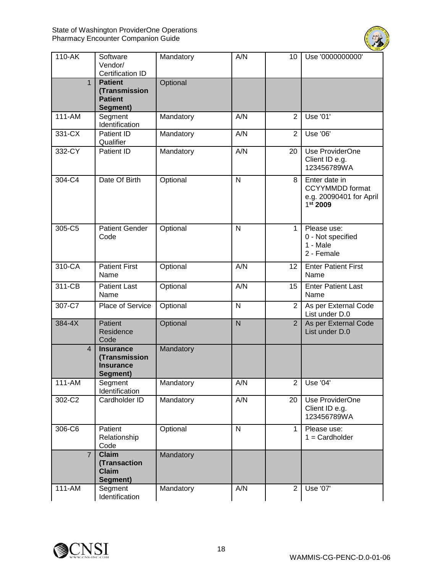

| 110-AK         | Software<br>Vendor/<br><b>Certification ID</b>                    | Mandatory | A/N          | 10             | Use '0000000000'                                                                 |
|----------------|-------------------------------------------------------------------|-----------|--------------|----------------|----------------------------------------------------------------------------------|
| $\mathbf{1}$   | <b>Patient</b><br>(Transmission<br><b>Patient</b><br>Segment)     | Optional  |              |                |                                                                                  |
| 111-AM         | Segment<br>Identification                                         | Mandatory | A/N          | 2              | Use '01'                                                                         |
| 331-CX         | Patient ID<br>Qualifier                                           | Mandatory | A/N          | $\overline{2}$ | Use '06'                                                                         |
| 332-CY         | Patient ID                                                        | Mandatory | A/N          | 20             | Use ProviderOne<br>Client ID e.g.<br>123456789WA                                 |
| 304-C4         | Date Of Birth                                                     | Optional  | $\mathsf{N}$ | 8              | Enter date in<br><b>CCYYMMDD</b> format<br>e.g. 20090401 for April<br>$1st$ 2009 |
| 305-C5         | <b>Patient Gender</b><br>Code                                     | Optional  | $\mathsf{N}$ | 1              | Please use:<br>0 - Not specified<br>1 - Male<br>2 - Female                       |
| 310-CA         | <b>Patient First</b><br>Name                                      | Optional  | A/N          | 12             | <b>Enter Patient First</b><br>Name                                               |
| 311-CB         | <b>Patient Last</b><br>Name                                       | Optional  | A/N          | 15             | <b>Enter Patient Last</b><br>Name                                                |
| 307-C7         | Place of Service                                                  | Optional  | N            | $\overline{2}$ | As per External Code<br>List under D.0                                           |
| 384-4X         | Patient<br>Residence<br>Code                                      | Optional  | N            | $\overline{2}$ | As per External Code<br>List under D.0                                           |
| 4              | <b>Insurance</b><br>(Transmission<br><b>Insurance</b><br>Segment) | Mandatory |              |                |                                                                                  |
| 111-AM         | Segment<br>Identification                                         | Mandatory | A/N          | $\overline{2}$ | Use '04'                                                                         |
| 302-C2         | Cardholder ID                                                     | Mandatory | A/N          | 20             | Use ProviderOne<br>Client ID e.g.<br>123456789WA                                 |
| 306-C6         | Patient<br>Relationship<br>Code                                   | Optional  | $\mathsf{N}$ | $\mathbf{1}$   | Please use:<br>$1 =$ Cardholder                                                  |
| $\overline{7}$ | <b>Claim</b><br>(Transaction<br><b>Claim</b><br>Segment)          | Mandatory |              |                |                                                                                  |
| 111-AM         | Segment<br>Identification                                         | Mandatory | A/N          | $\overline{c}$ | Use '07'                                                                         |

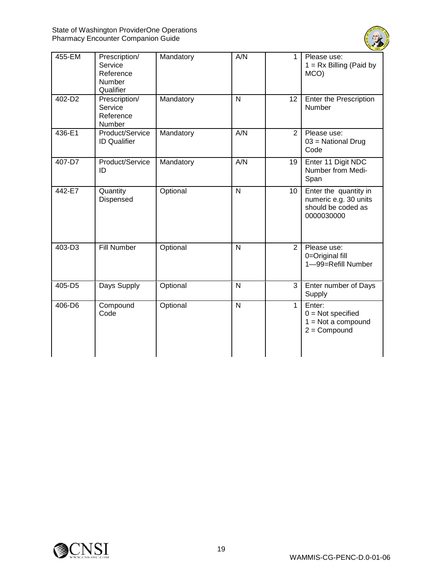

| 455-EM | Prescription/<br>Service<br>Reference<br>Number<br>Qualifier | Mandatory | A/N            | 1            | Please use:<br>$1 = Rx$ Billing (Paid by<br>MCO)                                   |
|--------|--------------------------------------------------------------|-----------|----------------|--------------|------------------------------------------------------------------------------------|
| 402-D2 | Prescription/<br>Service<br>Reference<br>Number              | Mandatory | $\overline{N}$ | 12           | Enter the Prescription<br>Number                                                   |
| 436-E1 | Product/Service<br><b>ID Qualifier</b>                       | Mandatory | A/N            | 2            | Please use:<br>03 = National Drug<br>Code                                          |
| 407-D7 | Product/Service<br>ID                                        | Mandatory | A/N            | 19           | Enter 11 Digit NDC<br>Number from Medi-<br>Span                                    |
| 442-E7 | Quantity<br>Dispensed                                        | Optional  | $\overline{N}$ | 10           | Enter the quantity in<br>numeric e.g. 30 units<br>should be coded as<br>0000030000 |
| 403-D3 | <b>Fill Number</b>                                           | Optional  | $\mathsf{N}$   | 2            | Please use:<br>0=Original fill<br>1-99=Refill Number                               |
| 405-D5 | Days Supply                                                  | Optional  | $\mathsf{N}$   | 3            | Enter number of Days<br>Supply                                                     |
| 406-D6 | Compound<br>Code                                             | Optional  | $\overline{N}$ | $\mathbf{1}$ | Enter:<br>$0 = Not specified$<br>$1 = Not$ a compound<br>$2 =$ Compound            |

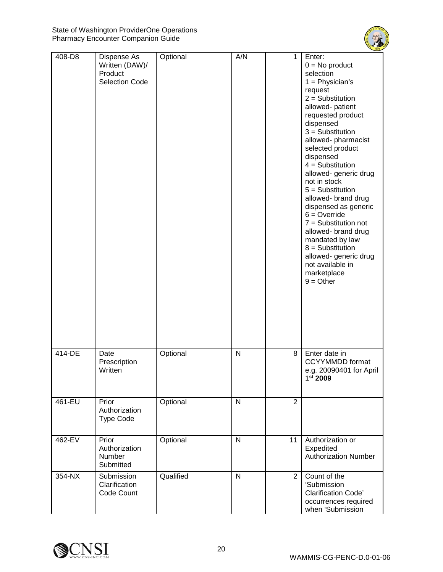

| 408-D8 | Dispense As<br>Written (DAW)/<br>Product<br><b>Selection Code</b> | Optional  | A/N          | $\mathbf{1}$   | Enter:<br>$0 = No$ product<br>selection<br>$1 =$ Physician's<br>request<br>$2 =$ Substitution<br>allowed-patient<br>requested product<br>dispensed<br>$3 =$ Substitution<br>allowed-pharmacist<br>selected product<br>dispensed<br>$4 =$ Substitution<br>allowed- generic drug<br>not in stock<br>$5 =$ Substitution<br>allowed- brand drug<br>dispensed as generic<br>$6 =$ Override<br>$7 =$ Substitution not<br>allowed- brand drug<br>mandated by law<br>$8 =$ Substitution<br>allowed- generic drug<br>not available in<br>marketplace<br>$9 = Other$ |
|--------|-------------------------------------------------------------------|-----------|--------------|----------------|------------------------------------------------------------------------------------------------------------------------------------------------------------------------------------------------------------------------------------------------------------------------------------------------------------------------------------------------------------------------------------------------------------------------------------------------------------------------------------------------------------------------------------------------------------|
| 414-DE | Date<br>Prescription<br>Written                                   | Optional  | $\mathsf{N}$ | 8              | Enter date in<br><b>CCYYMMDD</b> format<br>e.g. 20090401 for April<br>1st 2009                                                                                                                                                                                                                                                                                                                                                                                                                                                                             |
| 461-EU | Prior<br>Authorization<br><b>Type Code</b>                        | Optional  | $\mathsf{N}$ | $\overline{2}$ |                                                                                                                                                                                                                                                                                                                                                                                                                                                                                                                                                            |
| 462-EV | Prior<br>Authorization<br>Number<br>Submitted                     | Optional  | $\mathsf{N}$ | 11             | Authorization or<br>Expedited<br><b>Authorization Number</b>                                                                                                                                                                                                                                                                                                                                                                                                                                                                                               |
| 354-NX | Submission<br>Clarification<br>Code Count                         | Qualified | $\mathsf{N}$ | $\overline{2}$ | Count of the<br>'Submission<br><b>Clarification Code'</b><br>occurrences required<br>when 'Submission                                                                                                                                                                                                                                                                                                                                                                                                                                                      |

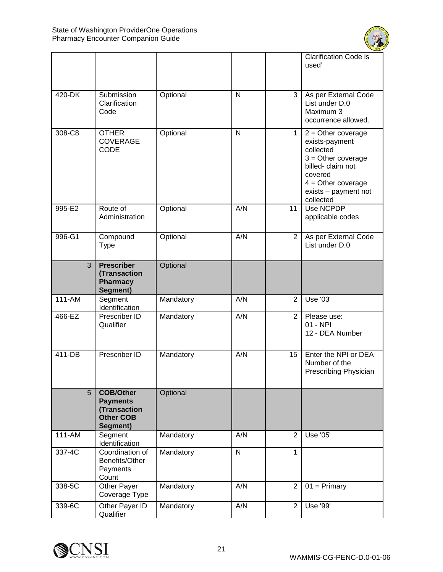

|                |                                                                                     |           |                |                  | <b>Clarification Code is</b><br>used'                                                                                                                                   |
|----------------|-------------------------------------------------------------------------------------|-----------|----------------|------------------|-------------------------------------------------------------------------------------------------------------------------------------------------------------------------|
|                |                                                                                     |           |                |                  |                                                                                                                                                                         |
| 420-DK         | Submission<br>Clarification<br>Code                                                 | Optional  | $\mathsf{N}$   | 3                | As per External Code<br>List under D.0<br>Maximum 3<br>occurrence allowed.                                                                                              |
| 308-C8         | <b>OTHER</b><br><b>COVERAGE</b><br>CODE                                             | Optional  | N              | 1                | $2 =$ Other coverage<br>exists-payment<br>collected<br>$3 =$ Other coverage<br>billed-claim not<br>covered<br>$4 =$ Other coverage<br>exists - payment not<br>collected |
| 995-E2         | Route of<br>Administration                                                          | Optional  | A/N            | 11               | Use NCPDP<br>applicable codes                                                                                                                                           |
| 996-G1         | Compound<br><b>Type</b>                                                             | Optional  | A/N            | 2                | As per External Code<br>List under D.0                                                                                                                                  |
| $\overline{3}$ | <b>Prescriber</b><br>(Transaction<br><b>Pharmacy</b><br>Segment)                    | Optional  |                |                  |                                                                                                                                                                         |
| 111-AM         | Segment<br>Identification                                                           | Mandatory | A/N            | $\overline{2}$   | Use '03'                                                                                                                                                                |
| 466-EZ         | Prescriber ID<br>Qualifier                                                          | Mandatory | A/N            | $\overline{2}$   | Please use:<br>01 - NPI<br>12 - DEA Number                                                                                                                              |
| 411-DB         | Prescriber ID                                                                       | Mandatory | A/N            | 15 <sub>15</sub> | Enter the NPI or DEA<br>Number of the<br>Prescribing Physician                                                                                                          |
| 5              | <b>COB/Other</b><br><b>Payments</b><br>(Transaction<br><b>Other COB</b><br>Segment) | Optional  |                |                  |                                                                                                                                                                         |
| 111-AM         | Segment<br>Identification                                                           | Mandatory | A/N            | 2                | Use '05'                                                                                                                                                                |
| 337-4C         | Coordination of<br>Benefits/Other<br>Payments<br>Count                              | Mandatory | $\overline{N}$ | 1                |                                                                                                                                                                         |
| 338-5C         | Other Payer<br>Coverage Type                                                        | Mandatory | A/N            | $\overline{2}$   | $01 = Primary$                                                                                                                                                          |
| 339-6C         | Other Payer ID<br>Qualifier                                                         | Mandatory | A/N            | 2                | <b>Use '99'</b>                                                                                                                                                         |

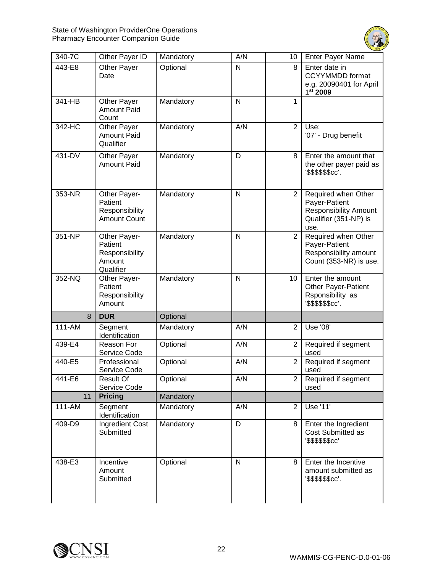

| 340-7C | Other Payer ID                                                   | Mandatory | A/N            | 10             | Enter Payer Name                                                                                      |
|--------|------------------------------------------------------------------|-----------|----------------|----------------|-------------------------------------------------------------------------------------------------------|
| 443-E8 | Other Payer<br>Date                                              | Optional  | $\mathsf{N}$   | 8              | Enter date in<br><b>CCYYMMDD</b> format<br>e.g. 20090401 for April<br>1st 2009                        |
| 341-HB | Other Payer<br><b>Amount Paid</b><br>Count                       | Mandatory | $\mathsf{N}$   | 1              |                                                                                                       |
| 342-HC | <b>Other Payer</b><br><b>Amount Paid</b><br>Qualifier            | Mandatory | A/N            | $\overline{2}$ | Use:<br>'07' - Drug benefit                                                                           |
| 431-DV | Other Payer<br><b>Amount Paid</b>                                | Mandatory | D              | 8              | Enter the amount that<br>the other payer paid as<br>'\$\$\$\$\$\$cc'.                                 |
| 353-NR | Other Payer-<br>Patient<br>Responsibility<br><b>Amount Count</b> | Mandatory | N              | $\overline{2}$ | Required when Other<br>Payer-Patient<br><b>Responsibility Amount</b><br>Qualifier (351-NP) is<br>use. |
| 351-NP | Other Payer-<br>Patient<br>Responsibility<br>Amount<br>Qualifier | Mandatory | $\mathsf{N}$   | $\overline{2}$ | Required when Other<br>Payer-Patient<br>Responsibility amount<br>Count (353-NR) is use.               |
| 352-NQ | Other Payer-<br>Patient<br>Responsibility<br>Amount              | Mandatory | N              | 10             | Enter the amount<br><b>Other Payer-Patient</b><br>Rsponsibility as<br>'\$\$\$\$\$\$cc'.               |
| 8      | <b>DUR</b>                                                       | Optional  |                |                |                                                                                                       |
| 111-AM | Segment<br>Identification                                        | Mandatory | A/N            | $\overline{2}$ | Use '08'                                                                                              |
| 439-E4 | Reason For<br>Service Code                                       | Optional  | A/N            | $\overline{2}$ | Required if segment<br>used                                                                           |
| 440-E5 | Professional<br>Service Code                                     | Optional  | A/N            | $\overline{2}$ | Required if segment<br>used                                                                           |
| 441-E6 | <b>Result Of</b><br>Service Code                                 | Optional  | A/N            | 2              | Required if segment<br>used                                                                           |
| 11     | <b>Pricing</b>                                                   | Mandatory |                |                |                                                                                                       |
| 111-AM | Segment<br>Identification                                        | Mandatory | A/N            | $\mathbf{2}$   | Use '11'                                                                                              |
| 409-D9 | Ingredient Cost<br>Submitted                                     | Mandatory | $\overline{D}$ | 8              | Enter the Ingredient<br>Cost Submitted as<br>'\$\$\$\$\$\$cc'                                         |
| 438-E3 | Incentive<br>Amount<br>Submitted                                 | Optional  | $\mathsf{N}$   | 8              | Enter the Incentive<br>amount submitted as<br>'\$\$\$\$\$\$cc'.                                       |

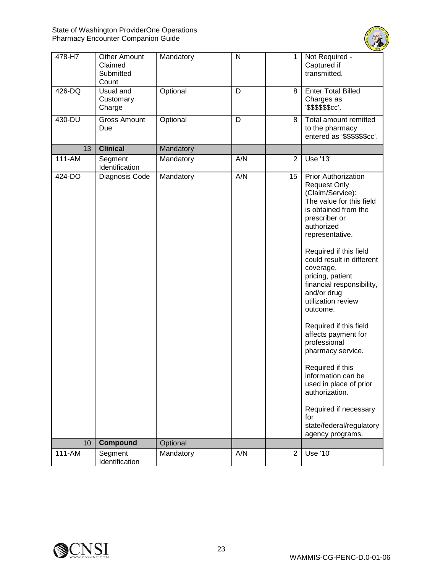

| 478-H7     | <b>Other Amount</b><br>Claimed<br>Submitted<br>Count | Mandatory | $\mathsf{N}$ | 1              | Not Required -<br>Captured if<br>transmitted.                                                                                                                                                                                                                                                                                                                                                                                                                                                               |
|------------|------------------------------------------------------|-----------|--------------|----------------|-------------------------------------------------------------------------------------------------------------------------------------------------------------------------------------------------------------------------------------------------------------------------------------------------------------------------------------------------------------------------------------------------------------------------------------------------------------------------------------------------------------|
| 426-DQ     | Usual and<br>Customary<br>Charge                     | Optional  | D            | 8              | <b>Enter Total Billed</b><br>Charges as<br>'\$\$\$\$\$\$cc'.                                                                                                                                                                                                                                                                                                                                                                                                                                                |
| 430-DU     | <b>Gross Amount</b><br>Due                           | Optional  | D            | 8              | Total amount remitted<br>to the pharmacy<br>entered as '\$\$\$\$\$\$cc'.                                                                                                                                                                                                                                                                                                                                                                                                                                    |
| 13         | <b>Clinical</b>                                      | Mandatory |              |                |                                                                                                                                                                                                                                                                                                                                                                                                                                                                                                             |
| $111 - AM$ | Segment<br>Identification                            | Mandatory | A/N          | $\overline{2}$ | Use '13'                                                                                                                                                                                                                                                                                                                                                                                                                                                                                                    |
| 424-DO     | Diagnosis Code                                       | Mandatory | A/N          | 15             | <b>Prior Authorization</b><br><b>Request Only</b><br>(Claim/Service):<br>The value for this field<br>is obtained from the<br>prescriber or<br>authorized<br>representative.<br>Required if this field<br>could result in different<br>coverage,<br>pricing, patient<br>financial responsibility,<br>and/or drug<br>utilization review<br>outcome.<br>Required if this field<br>affects payment for<br>professional<br>pharmacy service.<br>Required if this<br>information can be<br>used in place of prior |
|            |                                                      |           |              |                | authorization.<br>Required if necessary                                                                                                                                                                                                                                                                                                                                                                                                                                                                     |
|            |                                                      |           |              |                | for<br>state/federal/regulatory<br>agency programs.                                                                                                                                                                                                                                                                                                                                                                                                                                                         |
| 10         | Compound                                             | Optional  |              |                |                                                                                                                                                                                                                                                                                                                                                                                                                                                                                                             |
| 111-AM     | Segment<br>Identification                            | Mandatory | A/N          | $\overline{2}$ | Use '10'                                                                                                                                                                                                                                                                                                                                                                                                                                                                                                    |

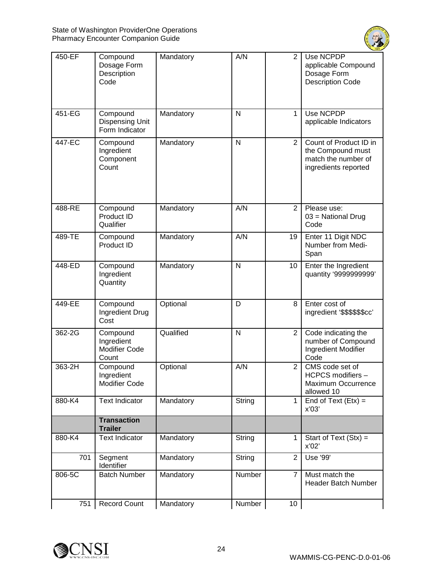

| 450-EF | Compound<br>Dosage Form<br>Description<br>Code       | Mandatory | A/N            | $\overline{2}$ | Use NCPDP<br>applicable Compound<br>Dosage Form<br><b>Description Code</b>                 |
|--------|------------------------------------------------------|-----------|----------------|----------------|--------------------------------------------------------------------------------------------|
| 451-EG | Compound<br><b>Dispensing Unit</b><br>Form Indicator | Mandatory | N              | 1              | Use NCPDP<br>applicable Indicators                                                         |
| 447-EC | Compound<br>Ingredient<br>Component<br>Count         | Mandatory | $\overline{N}$ | $\overline{2}$ | Count of Product ID in<br>the Compound must<br>match the number of<br>ingredients reported |
| 488-RE | Compound<br>Product ID<br>Qualifier                  | Mandatory | A/N            | 2              | Please use:<br>$03$ = National Drug<br>Code                                                |
| 489-TE | Compound<br>Product ID                               | Mandatory | A/N            | 19             | Enter 11 Digit NDC<br>Number from Medi-<br>Span                                            |
| 448-ED | Compound<br>Ingredient<br>Quantity                   | Mandatory | $\mathsf{N}$   | 10             | Enter the Ingredient<br>quantity '9999999999'                                              |
| 449-EE | Compound<br>Ingredient Drug<br>Cost                  | Optional  | D              | 8              | Enter cost of<br>ingredient '\$\$\$\$\$\$cc'                                               |
| 362-2G | Compound<br>Ingredient<br>Modifier Code<br>Count     | Qualified | $\mathsf{N}$   | $\overline{2}$ | Code indicating the<br>number of Compound<br>Ingredient Modifier<br>Code                   |
| 363-2H | Compound<br>Ingredient<br>Modifier Code              | Optional  | A/N            | $\overline{2}$ | CMS code set of<br><b>HCPCS</b> modifiers<br>Maximum Occurrence<br>allowed 10              |
| 880-K4 | <b>Text Indicator</b>                                | Mandatory | String         | 1              | End of Text $(Etx) =$<br>x'03'                                                             |
|        | <b>Transaction</b><br><b>Trailer</b>                 |           |                |                |                                                                                            |
| 880-K4 | <b>Text Indicator</b>                                | Mandatory | String         | 1              | Start of Text $(Stx) =$<br>x'02'                                                           |
| 701    | Segment<br>Identifier                                | Mandatory | String         | $\overline{2}$ | Use '99'                                                                                   |
| 806-5C | <b>Batch Number</b>                                  | Mandatory | Number         | $\overline{7}$ | Must match the<br><b>Header Batch Number</b>                                               |
| 751    | <b>Record Count</b>                                  | Mandatory | Number         | 10             |                                                                                            |